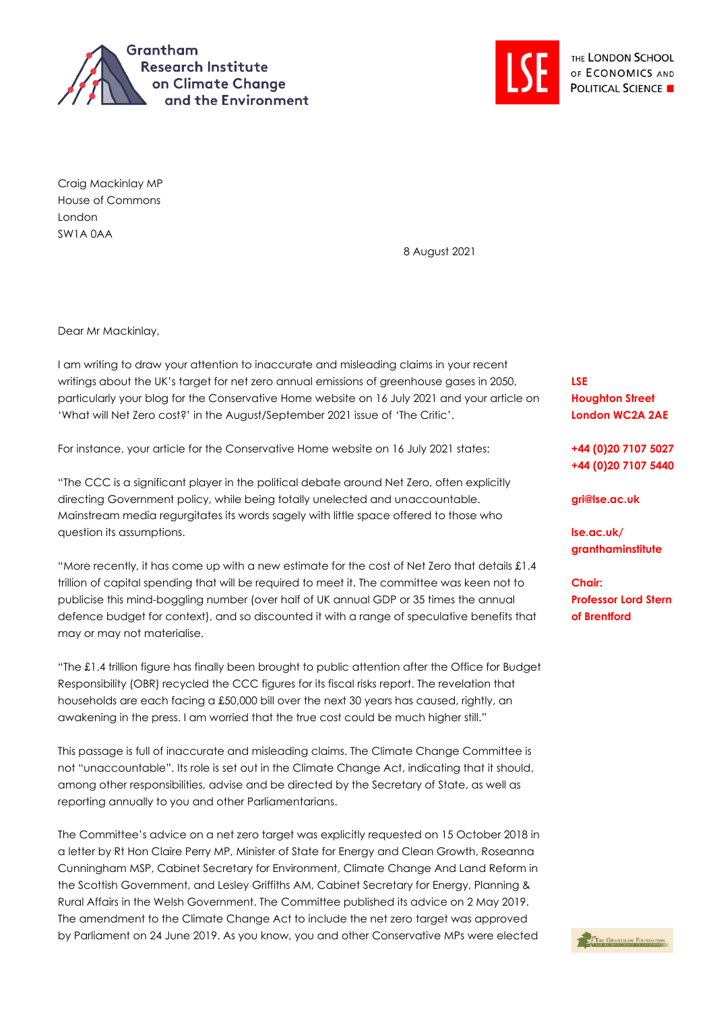



Craig Mackinlay MP House of Commons London SW1A 0AA

8 August 2021

Dear Mr Mackinlay,

I am writing to draw your attention to inaccurate and misleading claims in your recent writings about the UK's target for net zero annual emissions of greenhouse gases in 2050, particularly your blog for the Conservative Home website on 16 July 2021 and your article on 'What will Net Zero cost?' in the August/September 2021 issue of 'The Critic'.

For instance, your article for the Conservative Home website on 16 July 2021 states:

"The CCC is a significant player in the political debate around Net Zero, often explicitly directing Government policy, while being totally unelected and unaccountable. Mainstream media regurgitates its words sagely with little space offered to those who question its assumptions.

"More recently, it has come up with a new estimate for the cost of Net Zero that details £1.4 trillion of capital spending that will be required to meet it. The committee was keen not to publicise this mind-boggling number (over half of UK annual GDP or 35 times the annual defence budget for context), and so discounted it with a range of speculative benefits that may or may not materialise.

"The £1.4 trillion figure has finally been brought to public attention after the Office for Budget Responsibility (OBR) recycled the CCC figures for its fiscal risks report. The revelation that households are each facing a £50,000 bill over the next 30 years has caused, rightly, an awakening in the press. I am worried that the true cost could be much higher still."

This passage is full of inaccurate and misleading claims. The Climate Change Committee is not "unaccountable". Its role is set out in the Climate Change Act, indicating that it should, among other responsibilities, advise and be directed by the Secretary of State, as well as reporting annually to you and other Parliamentarians.

The Committee's advice on a net zero target was explicitly requested on 15 October 2018 in a letter by Rt Hon Claire Perry MP, Minister of State for Energy and Clean Growth, Roseanna Cunningham MSP, Cabinet Secretary for Environment, Climate Change And Land Reform in the Scottish Government, and Lesley Griffiths AM, Cabinet Secretary for Energy, Planning & Rural Affairs in the Welsh Government. The Committee published its advice on 2 May 2019. The amendment to the Climate Change Act to include the net zero target was approved by Parliament on 24 June 2019. As you know, you and other Conservative MPs were elected

**LSE Houghton Street London WC2A 2AE**

**+44 (0)20 7107 5027 +44 (0)20 7107 5440**

**gri@lse.ac.uk**

**lse.ac.uk/ granthaminstitute**

**Chair: Professor Lord Stern of Brentford**

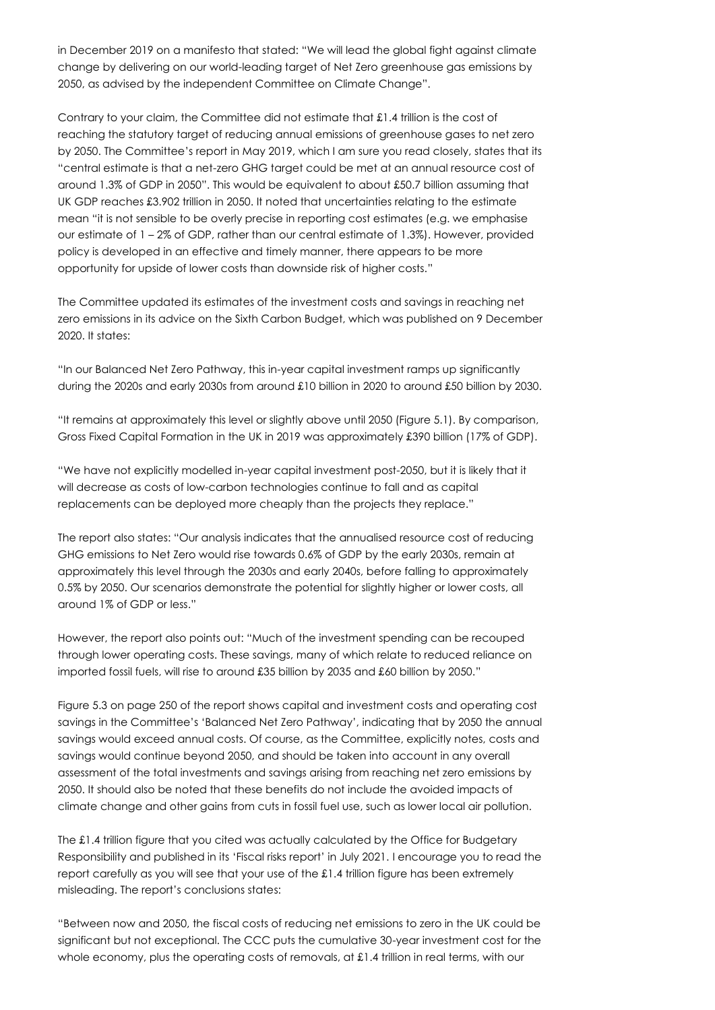in December 2019 on a manifesto that stated: "We will lead the global fight against climate change by delivering on our world-leading target of Net Zero greenhouse gas emissions by 2050, as advised by the independent Committee on Climate Change".

Contrary to your claim, the Committee did not estimate that £1.4 trillion is the cost of reaching the statutory target of reducing annual emissions of greenhouse gases to net zero by 2050. The Committee's report in May 2019, which I am sure you read closely, states that its "central estimate is that a net-zero GHG target could be met at an annual resource cost of around 1.3% of GDP in 2050". This would be equivalent to about £50.7 billion assuming that UK GDP reaches £3.902 trillion in 2050. It noted that uncertainties relating to the estimate mean "it is not sensible to be overly precise in reporting cost estimates (e.g. we emphasise our estimate of 1 – 2% of GDP, rather than our central estimate of 1.3%). However, provided policy is developed in an effective and timely manner, there appears to be more opportunity for upside of lower costs than downside risk of higher costs."

The Committee updated its estimates of the investment costs and savings in reaching net zero emissions in its advice on the Sixth Carbon Budget, which was published on 9 December 2020. It states:

"In our Balanced Net Zero Pathway, this in-year capital investment ramps up significantly during the 2020s and early 2030s from around £10 billion in 2020 to around £50 billion by 2030.

"It remains at approximately this level or slightly above until 2050 (Figure 5.1). By comparison, Gross Fixed Capital Formation in the UK in 2019 was approximately £390 billion (17% of GDP).

"We have not explicitly modelled in-year capital investment post-2050, but it is likely that it will decrease as costs of low-carbon technologies continue to fall and as capital replacements can be deployed more cheaply than the projects they replace."

The report also states: "Our analysis indicates that the annualised resource cost of reducing GHG emissions to Net Zero would rise towards 0.6% of GDP by the early 2030s, remain at approximately this level through the 2030s and early 2040s, before falling to approximately 0.5% by 2050. Our scenarios demonstrate the potential for slightly higher or lower costs, all around 1% of GDP or less."

However, the report also points out: "Much of the investment spending can be recouped through lower operating costs. These savings, many of which relate to reduced reliance on imported fossil fuels, will rise to around £35 billion by 2035 and £60 billion by 2050."

Figure 5.3 on page 250 of the report shows capital and investment costs and operating cost savings in the Committee's 'Balanced Net Zero Pathway', indicating that by 2050 the annual savings would exceed annual costs. Of course, as the Committee, explicitly notes, costs and savings would continue beyond 2050, and should be taken into account in any overall assessment of the total investments and savings arising from reaching net zero emissions by 2050. It should also be noted that these benefits do not include the avoided impacts of climate change and other gains from cuts in fossil fuel use, such as lower local air pollution.

The £1.4 trillion figure that you cited was actually calculated by the Office for Budgetary Responsibility and published in its 'Fiscal risks report' in July 2021. I encourage you to read the report carefully as you will see that your use of the £1.4 trillion figure has been extremely misleading. The report's conclusions states:

"Between now and 2050, the fiscal costs of reducing net emissions to zero in the UK could be significant but not exceptional. The CCC puts the cumulative 30-year investment cost for the whole economy, plus the operating costs of removals, at £1.4 trillion in real terms, with our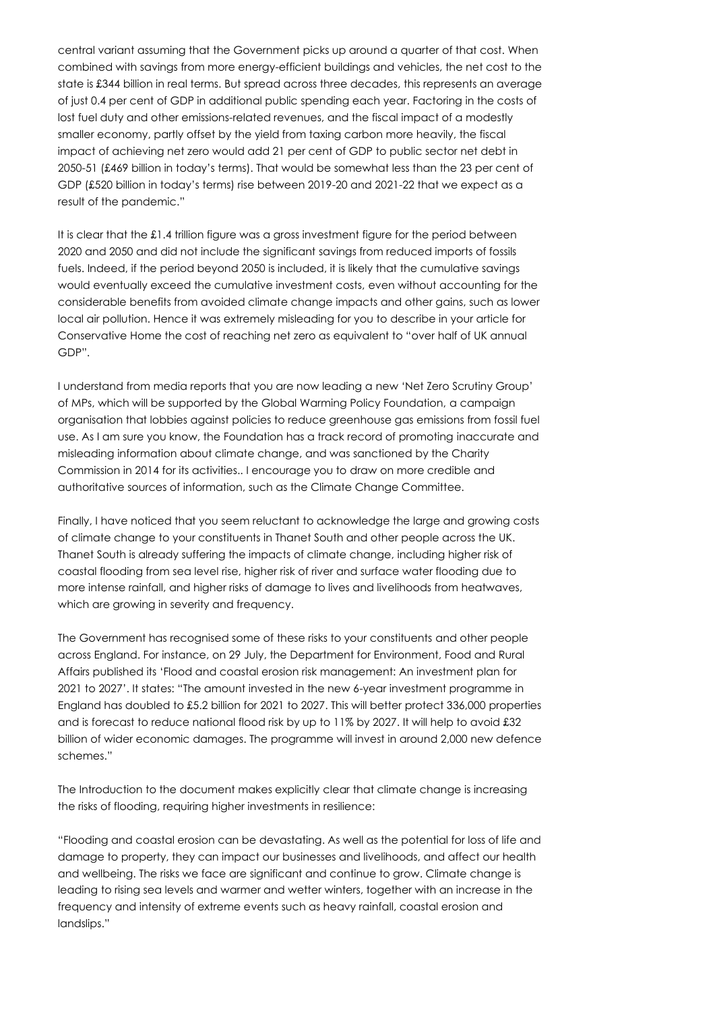central variant assuming that the Government picks up around a quarter of that cost. When combined with savings from more energy-efficient buildings and vehicles, the net cost to the state is £344 billion in real terms. But spread across three decades, this represents an average of just 0.4 per cent of GDP in additional public spending each year. Factoring in the costs of lost fuel duty and other emissions-related revenues, and the fiscal impact of a modestly smaller economy, partly offset by the yield from taxing carbon more heavily, the fiscal impact of achieving net zero would add 21 per cent of GDP to public sector net debt in 2050-51 (£469 billion in today's terms). That would be somewhat less than the 23 per cent of GDP (£520 billion in today's terms) rise between 2019-20 and 2021-22 that we expect as a result of the pandemic."

It is clear that the £1.4 trillion figure was a gross investment figure for the period between 2020 and 2050 and did not include the significant savings from reduced imports of fossils fuels. Indeed, if the period beyond 2050 is included, it is likely that the cumulative savings would eventually exceed the cumulative investment costs, even without accounting for the considerable benefits from avoided climate change impacts and other gains, such as lower local air pollution. Hence it was extremely misleading for you to describe in your article for Conservative Home the cost of reaching net zero as equivalent to "over half of UK annual GDP".

I understand from media reports that you are now leading a new 'Net Zero Scrutiny Group' of MPs, which will be supported by the Global Warming Policy Foundation, a campaign organisation that lobbies against policies to reduce greenhouse gas emissions from fossil fuel use. As I am sure you know, the Foundation has a track record of promoting inaccurate and misleading information about climate change, and was sanctioned by the Charity Commission in 2014 for its activities.. I encourage you to draw on more credible and authoritative sources of information, such as the Climate Change Committee.

Finally, I have noticed that you seem reluctant to acknowledge the large and growing costs of climate change to your constituents in Thanet South and other people across the UK. Thanet South is already suffering the impacts of climate change, including higher risk of coastal flooding from sea level rise, higher risk of river and surface water flooding due to more intense rainfall, and higher risks of damage to lives and livelihoods from heatwaves, which are growing in severity and frequency.

The Government has recognised some of these risks to your constituents and other people across England. For instance, on 29 July, the Department for Environment, Food and Rural Affairs published its 'Flood and coastal erosion risk management: An investment plan for 2021 to 2027'. It states: "The amount invested in the new 6-year investment programme in England has doubled to £5.2 billion for 2021 to 2027. This will better protect 336,000 properties and is forecast to reduce national flood risk by up to 11% by 2027. It will help to avoid £32 billion of wider economic damages. The programme will invest in around 2,000 new defence schemes."

The Introduction to the document makes explicitly clear that climate change is increasing the risks of flooding, requiring higher investments in resilience:

"Flooding and coastal erosion can be devastating. As well as the potential for loss of life and damage to property, they can impact our businesses and livelihoods, and affect our health and wellbeing. The risks we face are significant and continue to grow. Climate change is leading to rising sea levels and warmer and wetter winters, together with an increase in the frequency and intensity of extreme events such as heavy rainfall, coastal erosion and landslips."